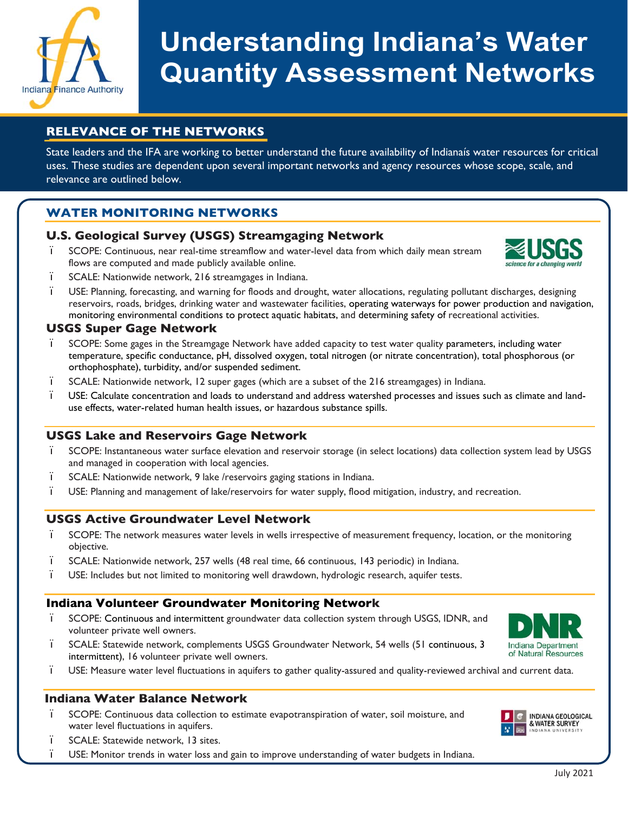

# **Understanding Indiana's Water Quantity Assessment Networks**

# **RELEVANCE OF THE NETWORKS**

State leaders and the IFA are working to better understand the future availability of Indianaís water resources for critical uses. These studies are dependent upon several important networks and agency resources whose scope, scale, and relevance are outlined below.

### **WATER MONITORING NETWORKS**

#### **U.S. Geological Survey (USGS) Streamgaging Network**

ï SCOPE: Continuous, near real-time streamflow and water-level data from which daily mean stream flows are computed and made publicly available online.



- ï SCALE: Nationwide network, 216 streamgages in Indiana.
- ï USE: Planning, forecasting, and warning for floods and drought, water allocations, regulating pollutant discharges, designing reservoirs, roads, bridges, drinking water and wastewater facilities, operating waterways for power production and navigation, monitoring environmental conditions to protect aquatic habitats, and determining safety of recreational activities.

#### **USGS Super Gage Network**

- ï SCOPE: Some gages in the Streamgage Network have added capacity to test water quality parameters, including water temperature, specific conductance, pH, dissolved oxygen, total nitrogen (or nitrate concentration), total phosphorous (or orthophosphate), turbidity, and/or suspended sediment.
- ï SCALE: Nationwide network, 12 super gages (which are a subset of the 216 streamgages) in Indiana.
- ï USE: Calculate concentration and loads to understand and address watershed processes and issues such as climate and landuse effects, water-related human health issues, or hazardous substance spills.

#### **USGS Lake and Reservoirs Gage Network**

- ï SCOPE: Instantaneous water surface elevation and reservoir storage (in select locations) data collection system lead by USGS and managed in cooperation with local agencies.
- ï SCALE: Nationwide network, 9 lake /reservoirs gaging stations in Indiana.
- ï USE: Planning and management of lake/reservoirs for water supply, flood mitigation, industry, and recreation.

#### **USGS Active Groundwater Level Network**

- ï SCOPE: The network measures water levels in wells irrespective of measurement frequency, location, or the monitoring objective.
- ï SCALE: Nationwide network, 257 wells (48 real time, 66 continuous, 143 periodic) in Indiana.
- ï USE: Includes but not limited to monitoring well drawdown, hydrologic research, aquifer tests.

#### **Indiana Volunteer Groundwater Monitoring Network**

- ï SCOPE: Continuous and intermittent groundwater data collection system through USGS, IDNR, and volunteer private well owners.
- ï SCALE: Statewide network, complements USGS Groundwater Network, 54 wells (51 continuous, 3 intermittent), 16 volunteer private well owners.
- Indiana Department of Natural Resources
- ï USE: Measure water level fluctuations in aquifers to gather quality-assured and quality-reviewed archival and current data.

#### **Indiana Water Balance Network**

- ï SCOPE: Continuous data collection to estimate evapotranspiration of water, soil moisture, and water level fluctuations in aquifers.
- ï SCALE: Statewide network, 13 sites.
- ï USE: Monitor trends in water loss and gain to improve understanding of water budgets in Indiana.